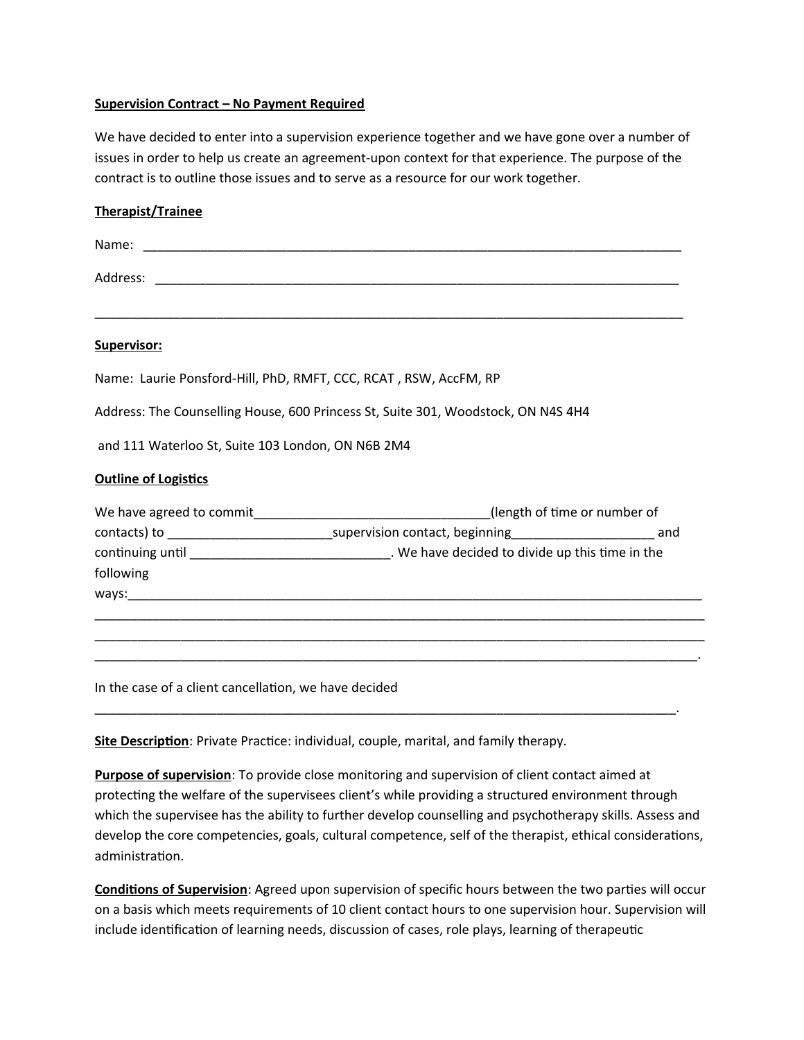## **Supervision Contract – No Payment Required**

We have decided to enter into a supervision experience together and we have gone over a number of issues in order to help us create an agreement-upon context for that experience. The purpose of the contract is to outline those issues and to serve as a resource for our work together.

| <b>Therapist/Trainee</b>                                         |                                                                                                          |
|------------------------------------------------------------------|----------------------------------------------------------------------------------------------------------|
|                                                                  |                                                                                                          |
|                                                                  |                                                                                                          |
| Supervisor:                                                      |                                                                                                          |
| Name: Laurie Ponsford-Hill, PhD, RMFT, CCC, RCAT, RSW, AccFM, RP |                                                                                                          |
|                                                                  | Address: The Counselling House, 600 Princess St, Suite 301, Woodstock, ON N4S 4H4                        |
| and 111 Waterloo St, Suite 103 London, ON N6B 2M4                |                                                                                                          |
| <b>Outline of Logistics</b>                                      |                                                                                                          |
|                                                                  | We have agreed to commit__________________________________(length of time or number of                   |
|                                                                  | contacts) to __________________________________supervision contact, beginning_______________________ and |
|                                                                  | continuing until __________________________________. We have decided to divide up this time in the       |
| following                                                        |                                                                                                          |
|                                                                  |                                                                                                          |
|                                                                  |                                                                                                          |
|                                                                  |                                                                                                          |
|                                                                  |                                                                                                          |
| In the case of a client cancellation, we have decided            |                                                                                                          |

**Site Description**: Private Practice: individual, couple, marital, and family therapy.

**Purpose of supervision**: To provide close monitoring and supervision of client contact aimed at protecting the welfare of the supervisees client's while providing a structured environment through which the supervisee has the ability to further develop counselling and psychotherapy skills. Assess and develop the core competencies, goals, cultural competence, self of the therapist, ethical considerations, administration.

\_\_\_\_\_\_\_\_\_\_\_\_\_\_\_\_\_\_\_\_\_\_\_\_\_\_\_\_\_\_\_\_\_\_\_\_\_\_\_\_\_\_\_\_\_\_\_\_\_\_\_\_\_\_\_\_\_\_\_\_\_\_\_\_\_\_\_\_\_\_\_\_\_\_\_\_\_\_\_\_\_.

**Conditions of Supervision**: Agreed upon supervision of specific hours between the two parties will occur on a basis which meets requirements of 10 client contact hours to one supervision hour. Supervision will include identification of learning needs, discussion of cases, role plays, learning of therapeutic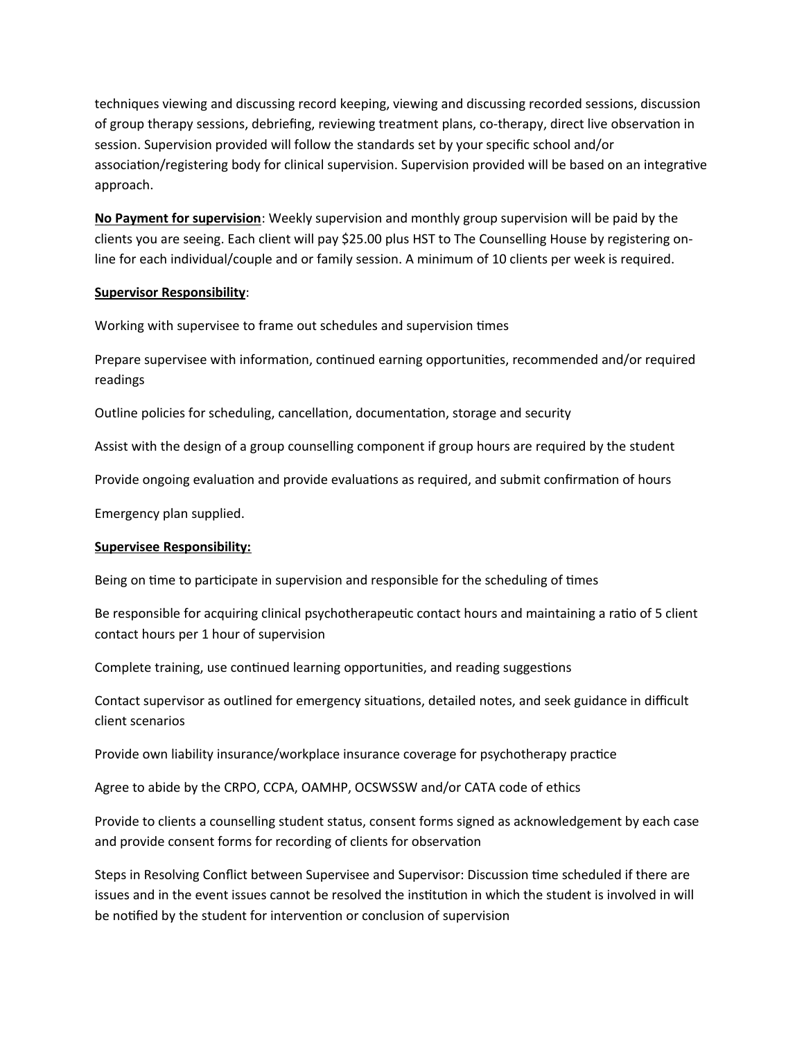techniques viewing and discussing record keeping, viewing and discussing recorded sessions, discussion of group therapy sessions, debriefing, reviewing treatment plans, co-therapy, direct live observation in session. Supervision provided will follow the standards set by your specific school and/or association/registering body for clinical supervision. Supervision provided will be based on an integrative approach.

**No Payment for supervision**: Weekly supervision and monthly group supervision will be paid by the clients you are seeing. Each client will pay \$25.00 plus HST to The Counselling House by registering online for each individual/couple and or family session. A minimum of 10 clients per week is required.

## **Supervisor Responsibility**:

Working with supervisee to frame out schedules and supervision times

Prepare supervisee with information, continued earning opportunities, recommended and/or required readings

Outline policies for scheduling, cancellation, documentation, storage and security

Assist with the design of a group counselling component if group hours are required by the student

Provide ongoing evaluation and provide evaluations as required, and submit confirmation of hours

Emergency plan supplied.

## **Supervisee Responsibility:**

Being on time to participate in supervision and responsible for the scheduling of times

Be responsible for acquiring clinical psychotherapeutic contact hours and maintaining a ratio of 5 client contact hours per 1 hour of supervision

Complete training, use continued learning opportunities, and reading suggestions

Contact supervisor as outlined for emergency situations, detailed notes, and seek guidance in difficult client scenarios

Provide own liability insurance/workplace insurance coverage for psychotherapy practice

Agree to abide by the CRPO, CCPA, OAMHP, OCSWSSW and/or CATA code of ethics

Provide to clients a counselling student status, consent forms signed as acknowledgement by each case and provide consent forms for recording of clients for observation

Steps in Resolving Conflict between Supervisee and Supervisor: Discussion time scheduled if there are issues and in the event issues cannot be resolved the institution in which the student is involved in will be notified by the student for intervention or conclusion of supervision